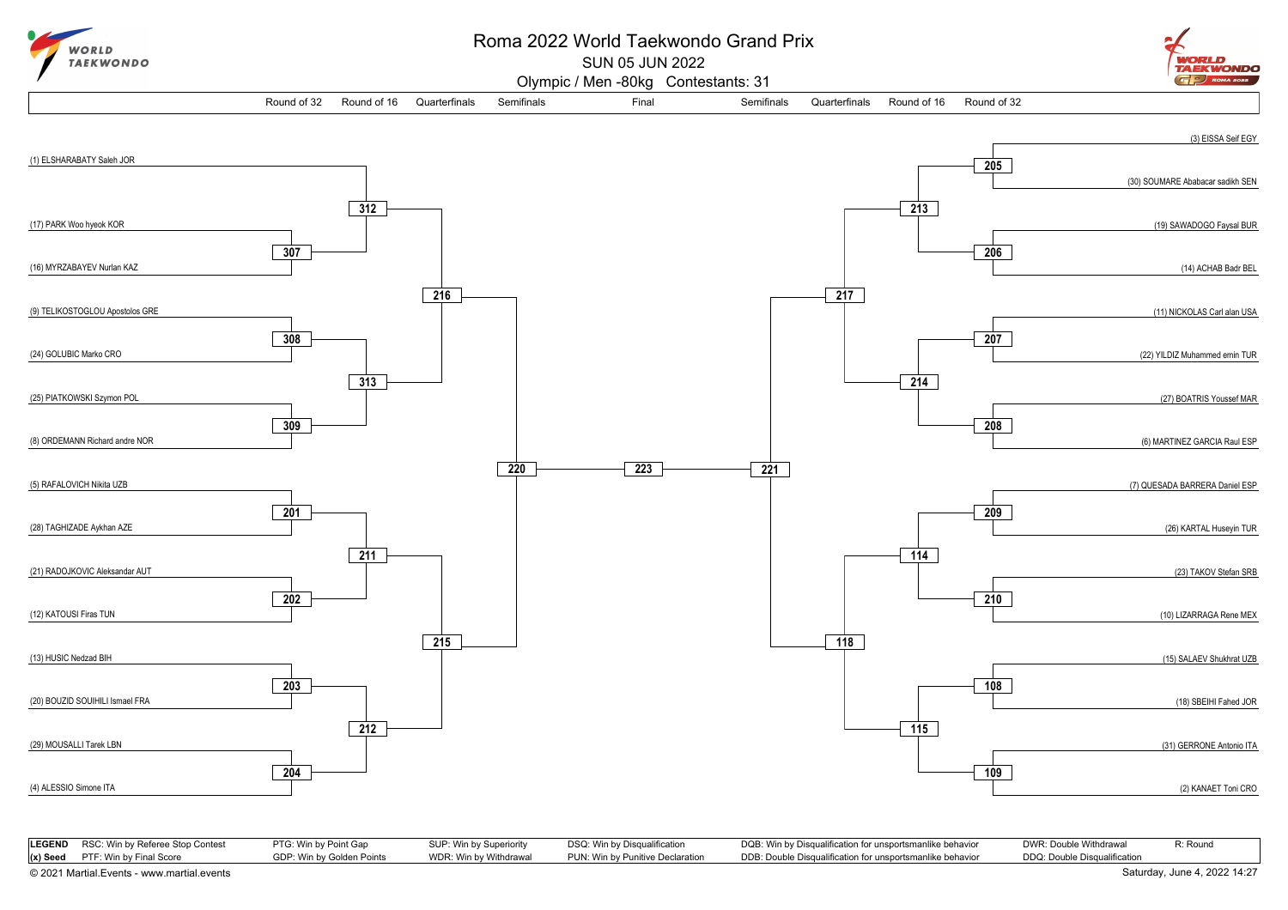

## Roma 2022 World Taekwondo Grand Prix

SUN 05 JUN 2022



Olympic / Men -80kg Contestants: 31



| <b>LEGEND</b> RSC: Win by Referee Stop Contest | PTG: Win by Point Gap     | SUP: Win by Superiority | DSQ: Win by Disqualification     | DQB: Win by Disqualification for unsportsmanlike behavior | DWR: Double Withdrawal       | R: Round                     |
|------------------------------------------------|---------------------------|-------------------------|----------------------------------|-----------------------------------------------------------|------------------------------|------------------------------|
| $(x)$ Seed PTF: Win by Final Score             | GDP: Win by Golden Points | WDR: Win by Withdrawal  | PUN: Win by Punitive Declaration | DDB: Double Disqualification for unsportsmanlike behavior | DDQ: Double Disqualification |                              |
| © 2021 Martial.Events - www.martial.events     |                           |                         |                                  |                                                           |                              | Saturday, June 4, 2022 14:27 |